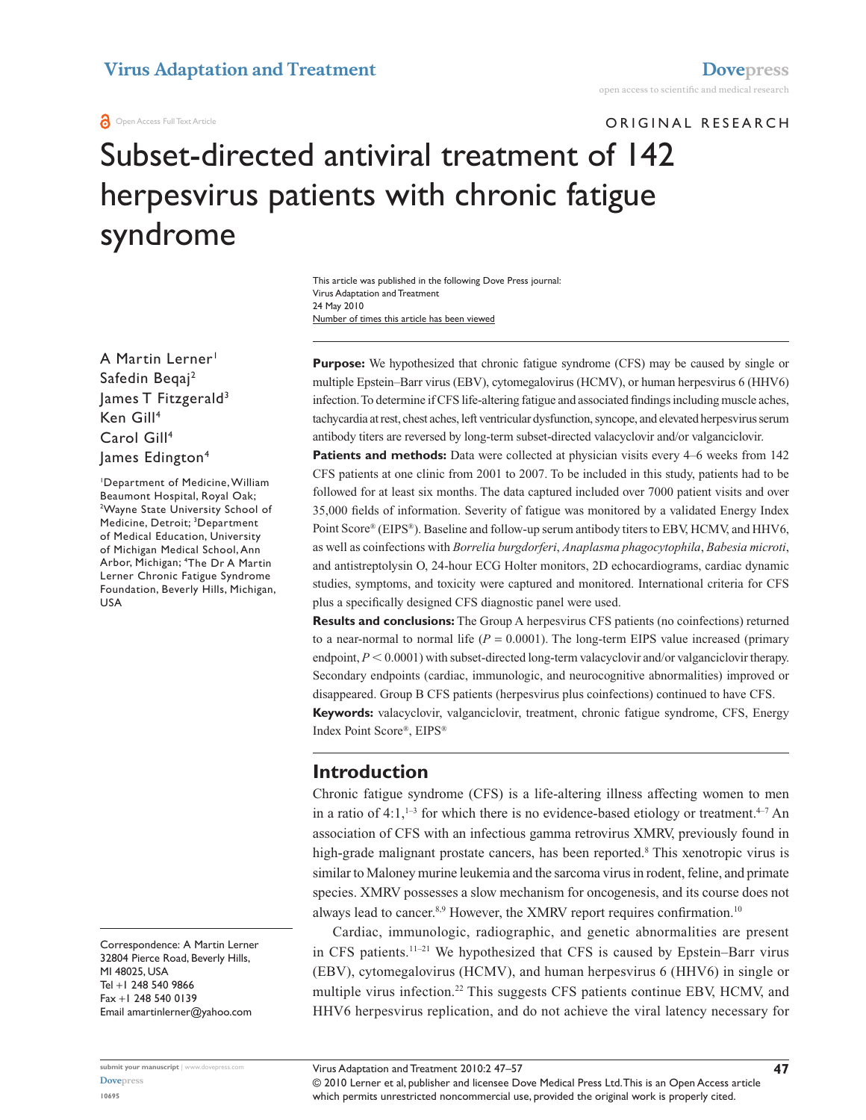#### **a** Open Access Full Text Article

ORIGINAL RESEARCH

# Subset-directed antiviral treatment of 142 herpesvirus patients with chronic fatigue syndrome

Number of times this article has been viewed This article was published in the following Dove Press journal: Virus Adaptation and Treatment 24 May 2010

A Martin Lerner<sup>1</sup> Safedin Beqaj2 lames T Fitzgerald<sup>3</sup> Ken Gill4 Carol Gill4 James Edington4

1 Department of Medicine, William Beaumont Hospital, Royal Oak; 2 <sup>2</sup>Wayne State University School of Medicine, Detroit; <sup>3</sup>Department of Medical Education, University of Michigan Medical School, Ann Arbor, Michigan; 4 The Dr A Martin Lerner Chronic Fatigue Syndrome Foundation, Beverly Hills, Michigan, USA

Correspondence: A Martin Lerner 32804 Pierce Road, Beverly Hills, MI 48025, USA Tel +1 248 540 9866 Fax +1 248 540 0139 Email amartinlerner@yahoo.com

**[Dovepress](www.dovepress.com) 10695**

**Purpose:** We hypothesized that chronic fatigue syndrome (CFS) may be caused by single or multiple Epstein–Barr virus (EBV), cytomegalovirus (HCMV), or human herpesvirus 6 (HHV6) infection. To determine if CFS life-altering fatigue and associated findings including muscle aches, tachycardia at rest, chest aches, left ventricular dysfunction, syncope, and elevated herpesvirus serum antibody titers are reversed by long-term subset-directed valacyclovir and/or valganciclovir.

**Patients and methods:** Data were collected at physician visits every 4–6 weeks from 142 CFS patients at one clinic from 2001 to 2007. To be included in this study, patients had to be followed for at least six months. The data captured included over 7000 patient visits and over 35,000 fields of information. Severity of fatigue was monitored by a validated Energy Index Point Score® (EIPS®). Baseline and follow-up serum antibody titers to EBV, HCMV, and HHV6, as well as coinfections with *Borrelia burgdorferi*, *Anaplasma phagocytophila*, *Babesia microti*, and antistreptolysin O, 24-hour ECG Holter monitors, 2D echocardiograms, cardiac dynamic studies, symptoms, and toxicity were captured and monitored. International criteria for CFS plus a specifically designed CFS diagnostic panel were used.

**Results and conclusions:** The Group A herpesvirus CFS patients (no coinfections) returned to a near-normal to normal life ( $P = 0.0001$ ). The long-term EIPS value increased (primary endpoint,  $P < 0.0001$ ) with subset-directed long-term valacyclovir and/or valganciclovir therapy. Secondary endpoints (cardiac, immunologic, and neurocognitive abnormalities) improved or disappeared. Group B CFS patients (herpesvirus plus coinfections) continued to have CFS. **Keywords:** valacyclovir, valganciclovir, treatment, chronic fatigue syndrome, CFS, Energy

#### **Introduction**

Index Point Score®, EIPS®

Chronic fatigue syndrome (CFS) is a life-altering illness affecting women to men in a ratio of 4:1,<sup>1-3</sup> for which there is no evidence-based etiology or treatment.<sup>4-7</sup> An association of CFS with an infectious gamma retrovirus XMRV, previously found in high-grade malignant prostate cancers, has been reported.<sup>8</sup> This xenotropic virus is similar to Maloney murine leukemia and the sarcoma virus in rodent, feline, and primate species. XMRV possesses a slow mechanism for oncogenesis, and its course does not always lead to cancer.<sup>8,9</sup> However, the XMRV report requires confirmation.<sup>10</sup>

Cardiac, immunologic, radiographic, and genetic abnormalities are present in CFS patients.11–21 We hypothesized that CFS is caused by Epstein–Barr virus (EBV), cytomegalovirus (HCMV), and human herpesvirus 6 (HHV6) in single or multiple virus infection.<sup>22</sup> This suggests CFS patients continue EBV, HCMV, and HHV6 herpesvirus replication, and do not achieve the viral latency necessary for

Virus Adaptation and Treatment 2010:2 47–57

© 2010 Lerner et al, publisher and licensee Dove Medical Press Ltd. This is an Open Access article which permits unrestricted noncommercial use, provided the original work is properly cited.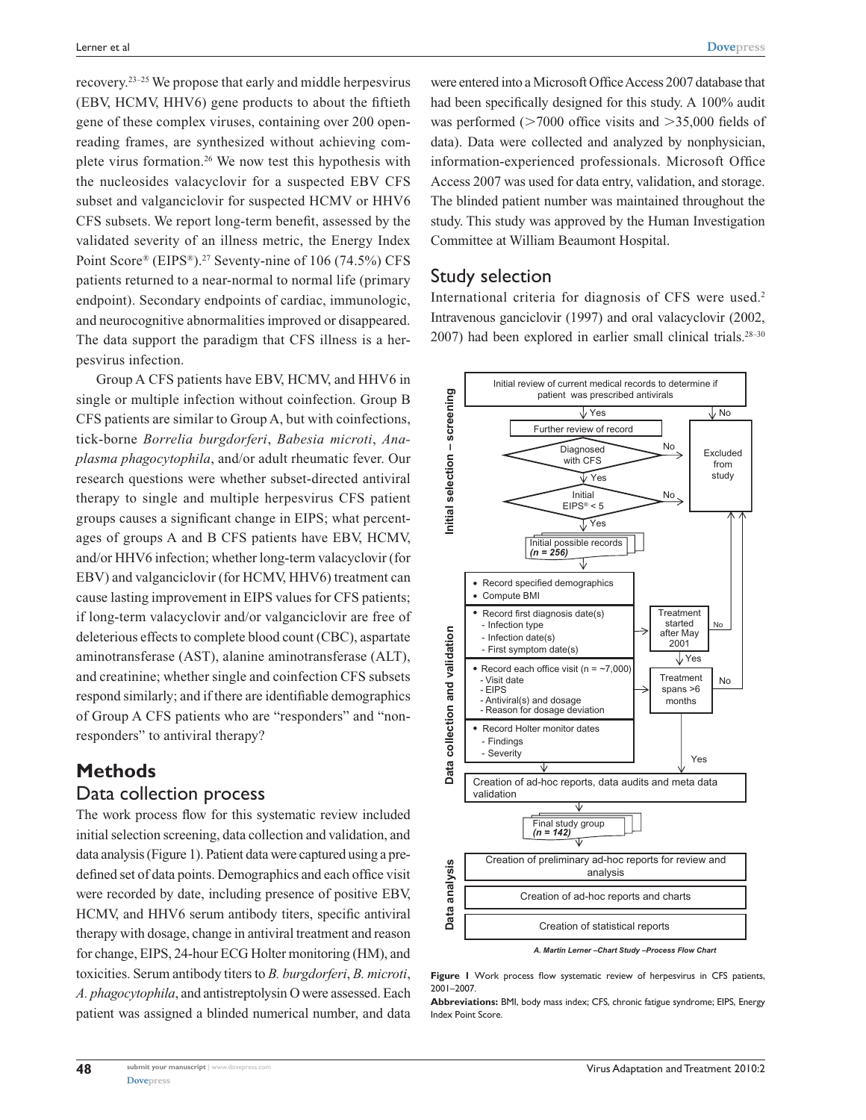recovery.23–25 We propose that early and middle herpesvirus (EBV, HCMV, HHV6) gene products to about the fiftieth gene of these complex viruses, containing over 200 openreading frames, are synthesized without achieving complete virus formation.26 We now test this hypothesis with the nucleosides valacyclovir for a suspected EBV CFS subset and valganciclovir for suspected HCMV or HHV6 CFS subsets. We report long-term benefit, assessed by the validated severity of an illness metric, the Energy Index Point Score® (EIPS®).<sup>27</sup> Seventy-nine of 106 (74.5%) CFS patients returned to a near-normal to normal life (primary endpoint). Secondary endpoints of cardiac, immunologic, and neurocognitive abnormalities improved or disappeared. The data support the paradigm that CFS illness is a herpesvirus infection.

Group A CFS patients have EBV, HCMV, and HHV6 in single or multiple infection without coinfection. Group B CFS patients are similar to Group A, but with coinfections, tick-borne *Borrelia burgdorferi*, *Babesia microti*, *Anaplasma phagocytophila*, and/or adult rheumatic fever. Our research questions were whether subset-directed antiviral therapy to single and multiple herpesvirus CFS patient groups causes a significant change in EIPS; what percentages of groups A and B CFS patients have EBV, HCMV, and/or HHV6 infection; whether long-term valacyclovir (for EBV) and valganciclovir (for HCMV, HHV6) treatment can cause lasting improvement in EIPS values for CFS patients; if long-term valacyclovir and/or valganciclovir are free of deleterious effects to complete blood count (CBC), aspartate aminotransferase (AST), alanine aminotransferase (ALT), and creatinine; whether single and coinfection CFS subsets respond similarly; and if there are identifiable demographics of Group A CFS patients who are "responders" and "nonresponders" to antiviral therapy?

# **Methods**

**48**

#### Data collection process

The work process flow for this systematic review included initial selection screening, data collection and validation, and data analysis (Figure 1). Patient data were captured using a predefined set of data points. Demographics and each office visit were recorded by date, including presence of positive EBV, HCMV, and HHV6 serum antibody titers, specific antiviral therapy with dosage, change in antiviral treatment and reason for change, EIPS, 24-hour ECG Holter monitoring (HM), and toxicities. Serum antibody titers to *B. burgdorferi*, *B. microti*, *A. phagocytophila*, and antistreptolysin O were assessed. Each patient was assigned a blinded numerical number, and data

were entered into a Microsoft Office Access 2007 database that had been specifically designed for this study. A 100% audit was performed ( $>7000$  office visits and  $>35,000$  fields of data). Data were collected and analyzed by nonphysician, information-experienced professionals. Microsoft Office Access 2007 was used for data entry, validation, and storage. The blinded patient number was maintained throughout the study. This study was approved by the Human Investigation Committee at William Beaumont Hospital.

#### Study selection

International criteria for diagnosis of CFS were used.2 Intravenous ganciclovir (1997) and oral valacyclovir (2002, 2007) had been explored in earlier small clinical trials.28–30



**Figure 1** Work process flow systematic review of herpesvirus in CFS patients, 2001–2007.

**Abbreviations:** BMI, body mass index; CFS, chronic fatigue syndrome; EIPS, Energy Index Point Score.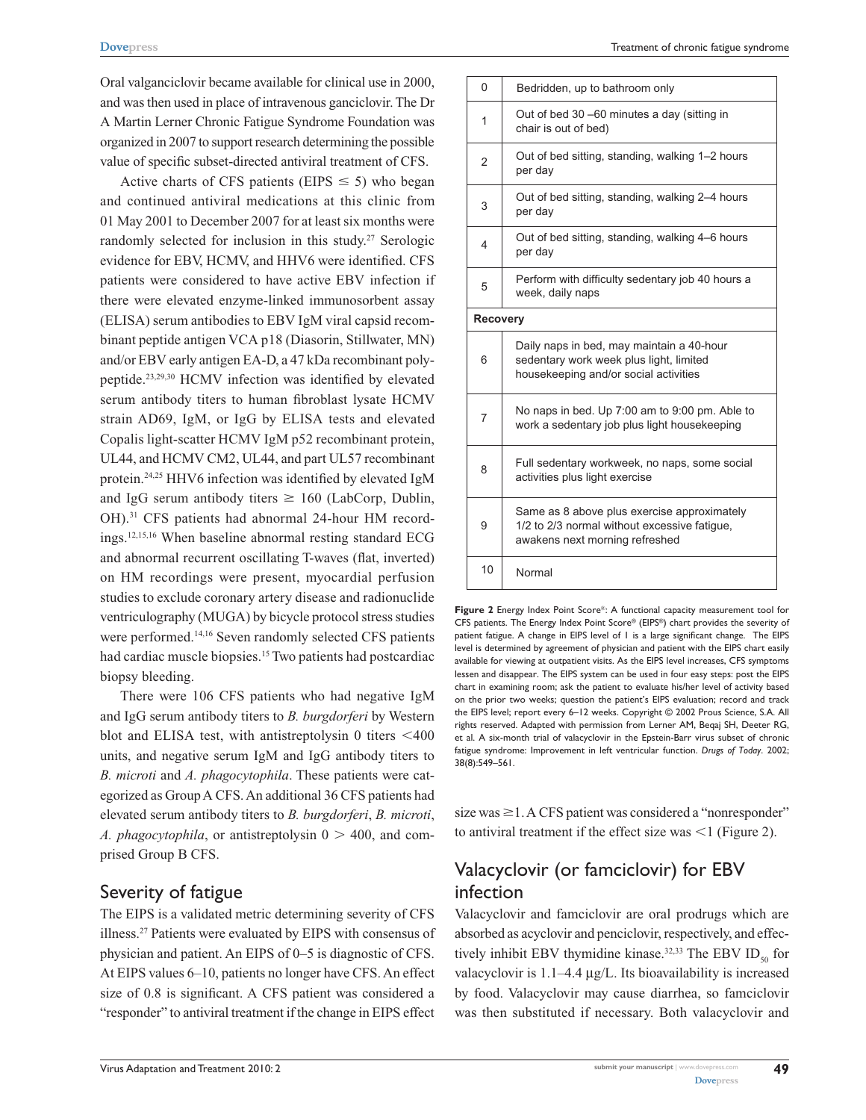Oral valganciclovir became available for clinical use in 2000, and was then used in place of intravenous ganciclovir. The Dr A Martin Lerner Chronic Fatigue Syndrome Foundation was organized in 2007 to support research determining the possible value of specific subset-directed antiviral treatment of CFS.

Active charts of CFS patients (EIPS  $\leq$  5) who began and continued antiviral medications at this clinic from 01 May 2001 to December 2007 for at least six months were randomly selected for inclusion in this study.<sup>27</sup> Serologic evidence for EBV, HCMV, and HHV6 were identified. CFS patients were considered to have active EBV infection if there were elevated enzyme-linked immunosorbent assay (ELISA) serum antibodies to EBV IgM viral capsid recombinant peptide antigen VCA p18 (Diasorin, Stillwater, MN) and/or EBV early antigen EA-D, a 47 kDa recombinant polypeptide.23,29,30 HCMV infection was identified by elevated serum antibody titers to human fibroblast lysate HCMV strain AD69, IgM, or IgG by ELISA tests and elevated Copalis light-scatter HCMV IgM p52 recombinant protein, UL44, and HCMV CM2, UL44, and part UL57 recombinant protein.24,25 HHV6 infection was identified by elevated IgM and IgG serum antibody titers  $\geq 160$  (LabCorp, Dublin, OH).31 CFS patients had abnormal 24-hour HM recordings.12,15,16 When baseline abnormal resting standard ECG and abnormal recurrent oscillating T-waves (flat, inverted) on HM recordings were present, myocardial perfusion studies to exclude coronary artery disease and radionuclide ventriculography (MUGA) by bicycle protocol stress studies were performed.<sup>14,16</sup> Seven randomly selected CFS patients had cardiac muscle biopsies.<sup>15</sup> Two patients had postcardiac biopsy bleeding.

There were 106 CFS patients who had negative IgM and IgG serum antibody titers to *B. burgdorferi* by Western blot and ELISA test, with antistreptolysin 0 titers  $\leq 400$ units, and negative serum IgM and IgG antibody titers to *B. microti* and *A. phagocytophila*. These patients were categorized as Group A CFS. An additional 36 CFS patients had elevated serum antibody titers to *B. burgdorferi*, *B. microti*, *A. phagocytophila,* or antistreptolysin  $0 > 400$ , and comprised Group B CFS.

## Severity of fatigue

The EIPS is a validated metric determining severity of CFS illness.27 Patients were evaluated by EIPS with consensus of physician and patient. An EIPS of 0–5 is diagnostic of CFS. At EIPS values 6–10, patients no longer have CFS. An effect size of 0.8 is significant. A CFS patient was considered a "responder" to antiviral treatment if the change in EIPS effect

| $\Omega$        | Bedridden, up to bathroom only                                                                                                |
|-----------------|-------------------------------------------------------------------------------------------------------------------------------|
| 1               | Out of bed 30 -60 minutes a day (sitting in<br>chair is out of bed)                                                           |
| $\overline{2}$  | Out of bed sitting, standing, walking 1–2 hours<br>per day                                                                    |
| 3               | Out of bed sitting, standing, walking 2–4 hours<br>per day                                                                    |
| 4               | Out of bed sitting, standing, walking 4–6 hours<br>per day                                                                    |
| 5               | Perform with difficulty sedentary job 40 hours a<br>week, daily naps                                                          |
| <b>Recovery</b> |                                                                                                                               |
| 6               | Daily naps in bed, may maintain a 40-hour<br>sedentary work week plus light, limited<br>housekeeping and/or social activities |
| $\overline{7}$  | No naps in bed. Up 7:00 am to 9:00 pm. Able to<br>work a sedentary job plus light housekeeping                                |
| 8               | Full sedentary workweek, no naps, some social<br>activities plus light exercise                                               |
| 9               | Same as 8 above plus exercise approximately<br>1/2 to 2/3 normal without excessive fatigue,<br>awakens next morning refreshed |
| 10              | Normal                                                                                                                        |
|                 |                                                                                                                               |

**Figure 2** Energy Index Point Score®: A functional capacity measurement tool for CFS patients. The Energy Index Point Score® (EIPS®) chart provides the severity of patient fatigue. A change in EIPS level of 1 is a large significant change. The EIPS level is determined by agreement of physician and patient with the EIPS chart easily available for viewing at outpatient visits. As the EIPS level increases, CFS symptoms lessen and disappear. The EIPS system can be used in four easy steps: post the EIPS chart in examining room; ask the patient to evaluate his/her level of activity based on the prior two weeks; question the patient's EIPS evaluation; record and track the EIPS level; report every 6–12 weeks. Copyright © 2002 Prous Science, S.A. All rights reserved. Adapted with permission from Lerner AM, Beqaj SH, Deeter RG, et al. A six-month trial of valacyclovir in the Epstein-Barr virus subset of chronic fatigue syndrome: Improvement in left ventricular function. *Drugs of Today*. 2002; 38(8):549–561.

size was  $\geq 1$ . A CFS patient was considered a "nonresponder" to antiviral treatment if the effect size was  $\leq 1$  (Figure 2).

# Valacyclovir (or famciclovir) for EBV infection

Valacyclovir and famciclovir are oral prodrugs which are absorbed as acyclovir and penciclovir, respectively, and effectively inhibit EBV thymidine kinase.<sup>32,33</sup> The EBV ID<sub>50</sub> for valacyclovir is 1.1–4.4 µg/L. Its bioavailability is increased by food. Valacyclovir may cause diarrhea, so famciclovir was then substituted if necessary. Both valacyclovir and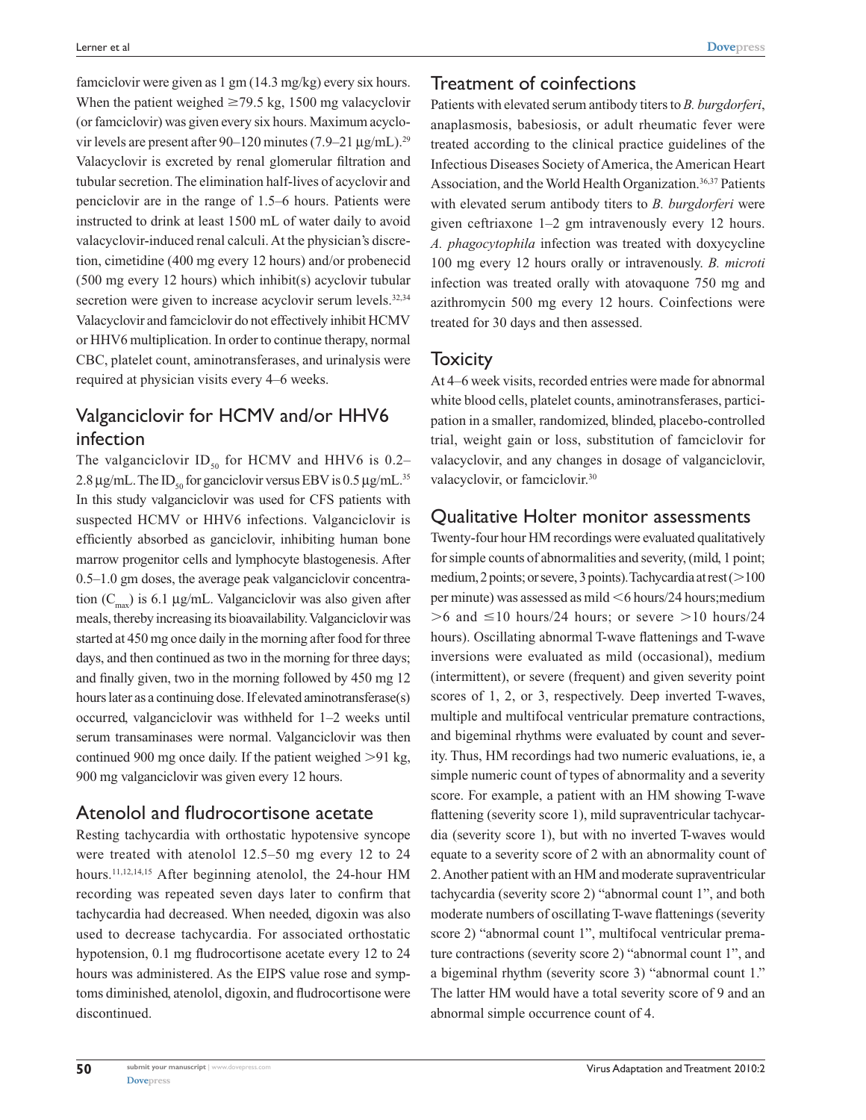famciclovir were given as 1 gm (14.3 mg/kg) every six hours. When the patient weighed  $\geq$  79.5 kg, 1500 mg valacyclovir (or famciclovir) was given every six hours. Maximum acyclovir levels are present after 90–120 minutes (7.9–21  $\mu$ g/mL).<sup>29</sup> Valacyclovir is excreted by renal glomerular filtration and tubular secretion. The elimination half-lives of acyclovir and penciclovir are in the range of 1.5–6 hours. Patients were instructed to drink at least 1500 mL of water daily to avoid valacyclovir-induced renal calculi. At the physician's discretion, cimetidine (400 mg every 12 hours) and/or probenecid (500 mg every 12 hours) which inhibit(s) acyclovir tubular secretion were given to increase acyclovir serum levels.<sup>32,34</sup> Valacyclovir and famciclovir do not effectively inhibit HCMV or HHV6 multiplication. In order to continue therapy, normal CBC, platelet count, aminotransferases, and urinalysis were required at physician visits every 4–6 weeks.

## Valganciclovir for HCMV and/or HHV6 infection

The valganciclovir  $ID_{50}$  for HCMV and HHV6 is 0.2– 2.8  $\mu$ g/mL. The ID<sub>50</sub> for ganciclovir versus EBV is 0.5  $\mu$ g/mL.<sup>35</sup> In this study valganciclovir was used for CFS patients with suspected HCMV or HHV6 infections. Valganciclovir is efficiently absorbed as ganciclovir, inhibiting human bone marrow progenitor cells and lymphocyte blastogenesis. After 0.5–1.0 gm doses, the average peak valganciclovir concentration  $(C_{\text{max}})$  is 6.1 µg/mL. Valganciclovir was also given after meals, thereby increasing its bioavailability. Valganciclovir was started at 450 mg once daily in the morning after food for three days, and then continued as two in the morning for three days; and finally given, two in the morning followed by 450 mg 12 hours later as a continuing dose. If elevated aminotransferase(s) occurred, valganciclovir was withheld for 1–2 weeks until serum transaminases were normal. Valganciclovir was then continued 900 mg once daily. If the patient weighed  $>91$  kg, 900 mg valganciclovir was given every 12 hours.

#### Atenolol and fludrocortisone acetate

Resting tachycardia with orthostatic hypotensive syncope were treated with atenolol 12.5–50 mg every 12 to 24 hours.11,12,14,15 After beginning atenolol, the 24-hour HM recording was repeated seven days later to confirm that tachycardia had decreased. When needed, digoxin was also used to decrease tachycardia. For associated orthostatic hypotension, 0.1 mg fludrocortisone acetate every 12 to 24 hours was administered. As the EIPS value rose and symptoms diminished, atenolol, digoxin, and fludrocortisone were discontinued.

#### Treatment of coinfections

Patients with elevated serum antibody titers to *B. burgdorferi*, anaplasmosis, babesiosis, or adult rheumatic fever were treated according to the clinical practice guidelines of the Infectious Diseases Society of America, the American Heart Association, and the World Health Organization.<sup>36,37</sup> Patients with elevated serum antibody titers to *B. burgdorferi* were given ceftriaxone 1–2 gm intravenously every 12 hours. *A. phagocytophila* infection was treated with doxycycline 100 mg every 12 hours orally or intravenously. *B. microti* infection was treated orally with atovaquone 750 mg and azithromycin 500 mg every 12 hours. Coinfections were treated for 30 days and then assessed.

#### **Toxicity**

At 4–6 week visits, recorded entries were made for abnormal white blood cells, platelet counts, aminotransferases, participation in a smaller, randomized, blinded, placebo-controlled trial, weight gain or loss, substitution of famciclovir for valacyclovir, and any changes in dosage of valganciclovir, valacyclovir, or famciclovir.<sup>30</sup>

#### Qualitative Holter monitor assessments

Twenty-four hour HM recordings were evaluated qualitatively for simple counts of abnormalities and severity, (mild, 1 point; medium, 2 points; or severe, 3 points). Tachycardia at rest  $(>100$ per minute) was assessed as mild <6 hours/24 hours;medium  $>6$  and  $\leq 10$  hours/24 hours; or severe  $>10$  hours/24 hours). Oscillating abnormal T-wave flattenings and T-wave inversions were evaluated as mild (occasional), medium (intermittent), or severe (frequent) and given severity point scores of 1, 2, or 3, respectively. Deep inverted T-waves, multiple and multifocal ventricular premature contractions, and bigeminal rhythms were evaluated by count and severity. Thus, HM recordings had two numeric evaluations, ie, a simple numeric count of types of abnormality and a severity score. For example, a patient with an HM showing T-wave flattening (severity score 1), mild supraventricular tachycardia (severity score 1), but with no inverted T-waves would equate to a severity score of 2 with an abnormality count of 2. Another patient with an HM and moderate supraventricular tachycardia (severity score 2) "abnormal count 1", and both moderate numbers of oscillating T-wave flattenings (severity score 2) "abnormal count 1", multifocal ventricular premature contractions (severity score 2) "abnormal count 1", and a bigeminal rhythm (severity score 3) "abnormal count 1." The latter HM would have a total severity score of 9 and an abnormal simple occurrence count of 4.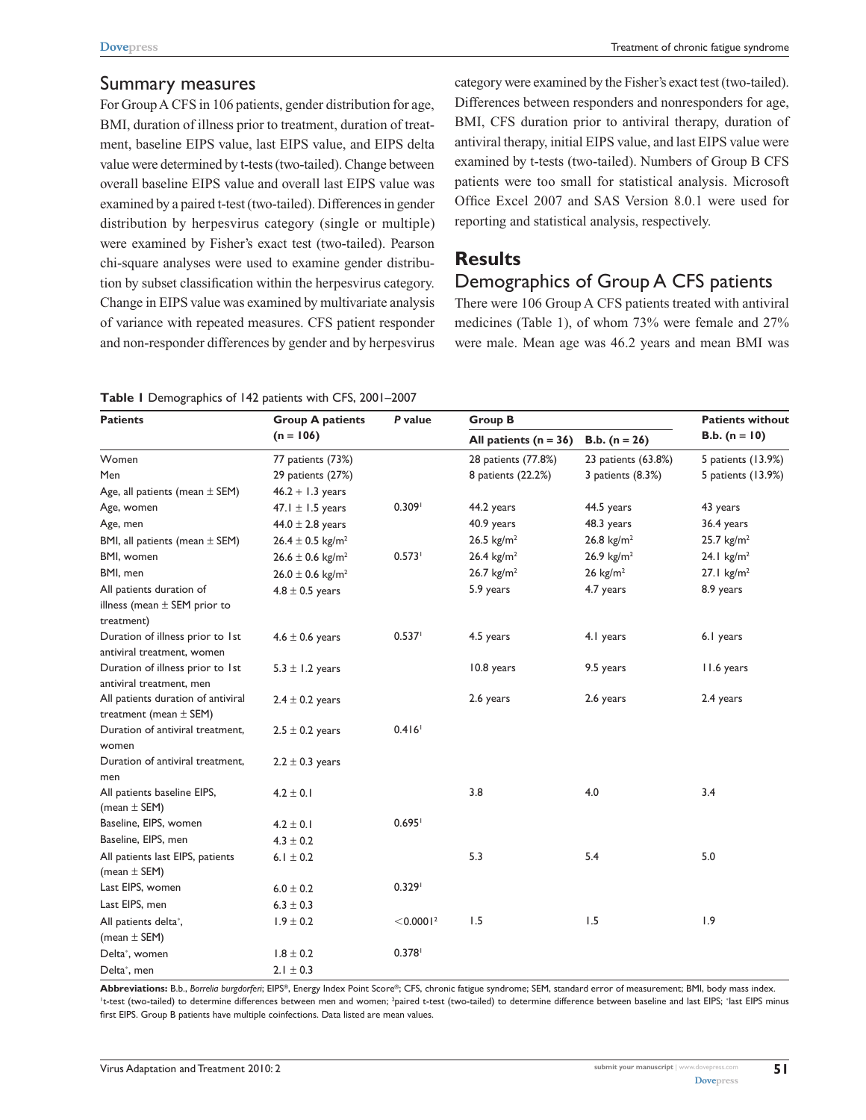#### Summary measures

For Group A CFS in 106 patients, gender distribution for age, BMI, duration of illness prior to treatment, duration of treatment, baseline EIPS value, last EIPS value, and EIPS delta value were determined by t-tests (two-tailed). Change between overall baseline EIPS value and overall last EIPS value was examined by a paired t-test (two-tailed). Differences in gender distribution by herpesvirus category (single or multiple) were examined by Fisher's exact test (two-tailed). Pearson chi-square analyses were used to examine gender distribution by subset classification within the herpesvirus category. Change in EIPS value was examined by multivariate analysis of variance with repeated measures. CFS patient responder and non-responder differences by gender and by herpesvirus

|  | Table I Demographics of 142 patients with CFS, 2001-2007 |  |  |  |  |  |
|--|----------------------------------------------------------|--|--|--|--|--|
|--|----------------------------------------------------------|--|--|--|--|--|

category were examined by the Fisher's exact test (two-tailed). Differences between responders and nonresponders for age, BMI, CFS duration prior to antiviral therapy, duration of antiviral therapy, initial EIPS value, and last EIPS value were examined by t-tests (two-tailed). Numbers of Group B CFS patients were too small for statistical analysis. Microsoft Office Excel 2007 and SAS Version 8.0.1 were used for reporting and statistical analysis, respectively.

#### **Results**

#### Demographics of Group A CFS patients

There were 106 Group A CFS patients treated with antiviral medicines (Table 1), of whom 73% were female and 27% were male. Mean age was 46.2 years and mean BMI was

| <b>Patients</b>                                              | <b>Group A patients</b>          | P value                 | <b>Group B</b>          |                        | <b>Patients without</b>  |  |
|--------------------------------------------------------------|----------------------------------|-------------------------|-------------------------|------------------------|--------------------------|--|
|                                                              | $(n = 106)$                      |                         | All patients $(n = 36)$ | <b>B.b.</b> $(n = 26)$ | <b>B.b.</b> $(n = 10)$   |  |
| Women                                                        | 77 patients (73%)                |                         | 28 patients (77.8%)     | 23 patients (63.8%)    | 5 patients (13.9%)       |  |
| Men                                                          | 29 patients (27%)                |                         | 8 patients (22.2%)      | 3 patients (8.3%)      | 5 patients (13.9%)       |  |
| Age, all patients (mean $\pm$ SEM)                           | $46.2 + 1.3$ years               |                         |                         |                        |                          |  |
| Age, women                                                   | 47.1 $\pm$ 1.5 years             | 0.309                   | 44.2 years              | 44.5 years             | 43 years                 |  |
| Age, men                                                     | 44.0 $\pm$ 2.8 years             |                         | 40.9 years              | 48.3 years             | 36.4 years               |  |
| BMI, all patients (mean $\pm$ SEM)                           | $26.4 \pm 0.5$ kg/m <sup>2</sup> |                         | $26.5 \text{ kg/m}^2$   | $26.8 \text{ kg/m}^2$  | $25.7$ kg/m <sup>2</sup> |  |
| BMI, women                                                   | $26.6 \pm 0.6$ kg/m <sup>2</sup> | 0.573                   | 26.4 $kg/m2$            | $26.9 \text{ kg/m}^2$  | 24.1 $\text{kg/m}^2$     |  |
| BMI, men                                                     | $26.0 \pm 0.6$ kg/m <sup>2</sup> |                         | $26.7 \text{ kg/m}^2$   | $26 \text{ kg/m}^2$    | $27.1 \text{ kg/m}^2$    |  |
| All patients duration of                                     | $4.8 \pm 0.5$ years              |                         | 5.9 years               | 4.7 years              | 8.9 years                |  |
| illness (mean $\pm$ SEM prior to<br>treatment)               |                                  |                         |                         |                        |                          |  |
| Duration of illness prior to 1st                             | $4.6 \pm 0.6$ years              | 0.537                   | 4.5 years               | 4.1 years              | 6.1 years                |  |
| antiviral treatment, women                                   |                                  |                         |                         |                        |                          |  |
| Duration of illness prior to 1st<br>antiviral treatment, men | $5.3 \pm 1.2$ years              |                         | 10.8 years              | 9.5 years              | 11.6 years               |  |
| All patients duration of antiviral                           | $2.4 \pm 0.2$ years              |                         | 2.6 years               | 2.6 years              | 2.4 years                |  |
| treatment (mean $\pm$ SEM)                                   |                                  |                         |                         |                        |                          |  |
| Duration of antiviral treatment,<br>women                    | $2.5 \pm 0.2$ years              | 0.416                   |                         |                        |                          |  |
| Duration of antiviral treatment,                             | $2.2 \pm 0.3$ years              |                         |                         |                        |                          |  |
| men                                                          |                                  |                         |                         |                        |                          |  |
| All patients baseline EIPS,                                  | $4.2 \pm 0.1$                    |                         | 3.8                     | 4.0                    | 3.4                      |  |
| (mean $\pm$ SEM)                                             |                                  |                         |                         |                        |                          |  |
| Baseline, EIPS, women                                        | $4.2 \pm 0.1$                    | 0.695                   |                         |                        |                          |  |
| Baseline, EIPS, men                                          | $4.3 \pm 0.2$                    |                         |                         |                        |                          |  |
| All patients last EIPS, patients                             | 6.1 $\pm$ 0.2                    |                         | 5.3                     | 5.4                    | 5.0                      |  |
| (mean $\pm$ SEM)                                             |                                  |                         |                         |                        |                          |  |
| Last EIPS, women                                             | $6.0 \pm 0.2$                    | 0.329                   |                         |                        |                          |  |
| Last EIPS, men                                               | $6.3 \pm 0.3$                    |                         |                         |                        |                          |  |
| All patients delta*,                                         | $1.9 \pm 0.2$                    | $<$ 0.0001 <sup>2</sup> | 1.5                     | 1.5                    | 1.9                      |  |
| (mean $\pm$ SEM)                                             |                                  |                         |                         |                        |                          |  |
| Delta <sup>*</sup> , women                                   | $1.8 \pm 0.2$                    | 0.378                   |                         |                        |                          |  |
| Delta <sup>*</sup> , men                                     | $2.1 \pm 0.3$                    |                         |                         |                        |                          |  |

**Abbreviations:** B.b., *Borrelia burgdorferi*; EIPS®, Energy Index Point Score®; CFS, chronic fatigue syndrome; SEM, standard error of measurement; BMI, body mass index. <sup>1</sup>t-test (two-tailed) to determine differences between men and women; <sup>2</sup>paired t-test (two-tailed) to determine difference between baseline and last EIPS; <sup>∗</sup>last EIPS minus first EIPS. Group B patients have multiple coinfections. Data listed are mean values.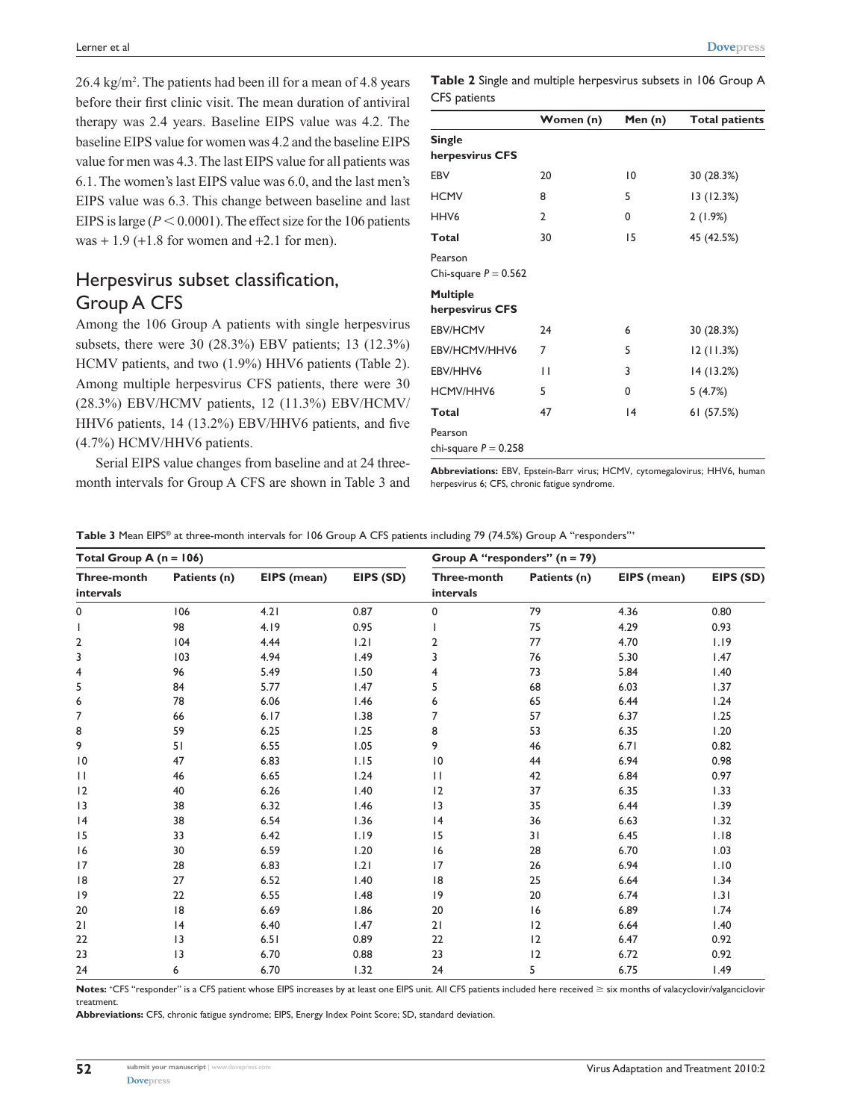26.4 kg/m2 . The patients had been ill for a mean of 4.8 years before their first clinic visit. The mean duration of antiviral therapy was 2.4 years. Baseline EIPS value was 4.2. The baseline EIPS value for women was 4.2 and the baseline EIPS value for men was 4.3. The last EIPS value for all patients was 6.1. The women's last EIPS value was 6.0, and the last men's EIPS value was 6.3. This change between baseline and last EIPS is large ( $P < 0.0001$ ). The effect size for the 106 patients was  $+1.9$  ( $+1.8$  for women and  $+2.1$  for men).

## Herpesvirus subset classification, Group A CFS

Among the 106 Group A patients with single herpesvirus subsets, there were 30 (28.3%) EBV patients; 13 (12.3%) HCMV patients, and two (1.9%) HHV6 patients (Table 2). Among multiple herpesvirus CFS patients, there were 30 (28.3%) EBV/HCMV patients, 12 (11.3%) EBV/HCMV/ HHV6 patients, 14 (13.2%) EBV/HHV6 patients, and five (4.7%) HCMV/HHV6 patients.

Serial EIPS value changes from baseline and at 24 threemonth intervals for Group A CFS are shown in Table 3 and **Table 2** Single and multiple herpesvirus subsets in 106 Group A CFS patients

|                                    | Women (n)      | Men(n) | <b>Total patients</b> |
|------------------------------------|----------------|--------|-----------------------|
| <b>Single</b>                      |                |        |                       |
| herpesvirus CFS                    |                |        |                       |
| <b>EBV</b>                         | 20             | 10     | 30 (28.3%)            |
| <b>HCMV</b>                        | 8              | 5      | 13 (12.3%)            |
| HHV <sub>6</sub>                   | $\overline{2}$ | 0      | 2(1.9%)               |
| Total                              | 30             | 15     | 45 (42.5%)            |
| Pearson<br>Chi-square $P = 0.562$  |                |        |                       |
| <b>Multiple</b><br>herpesvirus CFS |                |        |                       |
| <b>EBV/HCMV</b>                    | 24             | 6      | 30 (28.3%)            |
| EBV/HCMV/HHV6                      | 7              | 5      | 12(11.3%)             |
| EBV/HHV6                           | П              | 3      | 14 (13.2%)            |
| HCMV/HHV6                          | 5              | 0      | 5(4.7%)               |
| <b>Total</b>                       | 47             | 4      | 61(57.5%)             |
| Pearson<br>chi-square $P = 0.258$  |                |        |                       |

**Abbreviations:** EBV, Epstein-Barr virus; HCMV, cytomegalovirus; HHV6, human herpesvirus 6; CFS, chronic fatigue syndrome.

**Table 3** Mean EIPS® at three-month intervals for 106 Group A CFS patients including 79 (74.5%) Group A "responders"+

| Total Group A $(n = 106)$ |              |             |           | Group A "responders" $(n = 79)$ |              |             |           |
|---------------------------|--------------|-------------|-----------|---------------------------------|--------------|-------------|-----------|
| Three-month<br>intervals  | Patients (n) | EIPS (mean) | EIPS (SD) | Three-month<br>intervals        | Patients (n) | EIPS (mean) | EIPS (SD) |
| 0                         | 106          | 4.21        | 0.87      | 0                               | 79           | 4.36        | 0.80      |
|                           | 98           | 4.19        | 0.95      |                                 | 75           | 4.29        | 0.93      |
| $\overline{2}$            | 104          | 4.44        | 1.21      | $\overline{2}$                  | 77           | 4.70        | 1.19      |
| 3                         | 103          | 4.94        | 1.49      | 3                               | 76           | 5.30        | 1.47      |
| 4                         | 96           | 5.49        | 1.50      | 4                               | 73           | 5.84        | 1.40      |
| 5                         | 84           | 5.77        | 1.47      | 5                               | 68           | 6.03        | 1.37      |
| 6                         | 78           | 6.06        | 1.46      | 6                               | 65           | 6.44        | 1.24      |
| 7                         | 66           | 6.17        | 1.38      | 7                               | 57           | 6.37        | 1.25      |
| 8                         | 59           | 6.25        | 1.25      | 8                               | 53           | 6.35        | 1.20      |
| 9                         | 51           | 6.55        | 1.05      | 9                               | 46           | 6.71        | 0.82      |
| 10                        | 47           | 6.83        | 1.15      | 10                              | 44           | 6.94        | 0.98      |
| Ш                         | 46           | 6.65        | 1.24      | $\mathbf{H}$                    | 42           | 6.84        | 0.97      |
| 12                        | 40           | 6.26        | 1.40      | 12                              | 37           | 6.35        | 1.33      |
| 13                        | 38           | 6.32        | 1.46      | 13                              | 35           | 6.44        | 1.39      |
| 4                         | 38           | 6.54        | 1.36      | 4                               | 36           | 6.63        | 1.32      |
| 15                        | 33           | 6.42        | 1.19      | 15                              | 31           | 6.45        | 1.18      |
| 16                        | 30           | 6.59        | 1.20      | 16                              | 28           | 6.70        | 1.03      |
| 17                        | 28           | 6.83        | 1.21      | 17                              | 26           | 6.94        | 1.10      |
| 8                         | 27           | 6.52        | 1.40      | 8                               | 25           | 6.64        | 1.34      |
| 9                         | 22           | 6.55        | 1.48      | 9                               | 20           | 6.74        | 1.31      |
| 20                        | 8            | 6.69        | 1.86      | 20                              | 16           | 6.89        | 1.74      |
| 21                        | 4            | 6.40        | 1.47      | 21                              | 2            | 6.64        | 1.40      |
| 22                        | 3            | 6.51        | 0.89      | 22                              | 12           | 6.47        | 0.92      |
| 23                        | 3            | 6.70        | 0.88      | 23                              | 12           | 6.72        | 0.92      |
| 24                        | 6            | 6.70        | 1.32      | 24                              | 5            | 6.75        | 1.49      |

Notes: <sup>+</sup>CFS "responder" is a CFS patient whose EIPS increases by at least one EIPS unit. All CFS patients included here received ≥ six months of valacyclovir/valganciclovir treatment.

**Abbreviations:** CFS, chronic fatigue syndrome; EIPS, Energy Index Point Score; SD, standard deviation.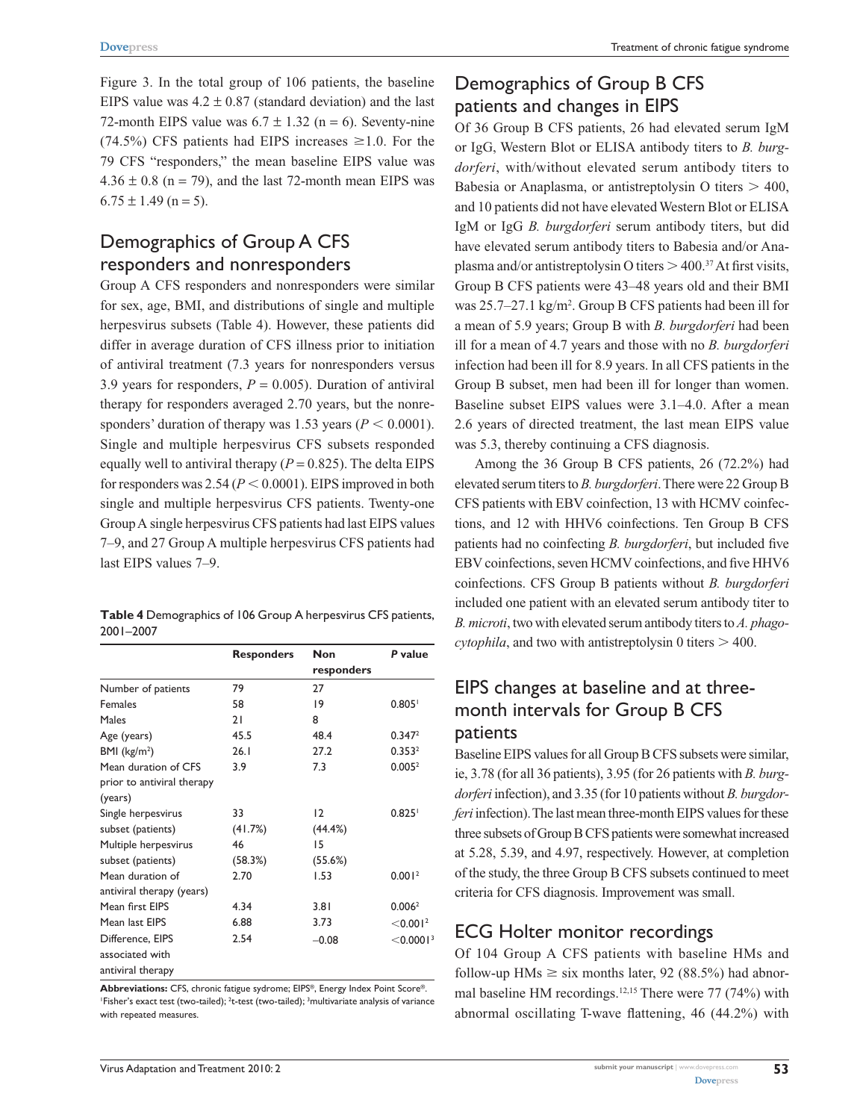Figure 3. In the total group of 106 patients, the baseline EIPS value was  $4.2 \pm 0.87$  (standard deviation) and the last 72-month EIPS value was  $6.7 \pm 1.32$  (n = 6). Seventy-nine  $(74.5\%)$  CFS patients had EIPS increases  $\geq 1.0$ . For the 79 CFS "responders," the mean baseline EIPS value was  $4.36 \pm 0.8$  (n = 79), and the last 72-month mean EIPS was  $6.75 \pm 1.49$  (n = 5).

## Demographics of Group A CFS responders and nonresponders

Group A CFS responders and nonresponders were similar for sex, age, BMI, and distributions of single and multiple herpesvirus subsets (Table 4). However, these patients did differ in average duration of CFS illness prior to initiation of antiviral treatment (7.3 years for nonresponders versus 3.9 years for responders,  $P = 0.005$ ). Duration of antiviral therapy for responders averaged 2.70 years, but the nonresponders' duration of therapy was 1.53 years ( $P < 0.0001$ ). Single and multiple herpesvirus CFS subsets responded equally well to antiviral therapy  $(P = 0.825)$ . The delta EIPS for responders was  $2.54 (P < 0.0001)$ . EIPS improved in both single and multiple herpesvirus CFS patients. Twenty-one Group A single herpesvirus CFS patients had last EIPS values 7–9, and 27 Group A multiple herpesvirus CFS patients had last EIPS values 7–9.

| <b>Table 4</b> Demographics of 106 Group A herpesvirus CFS patients, |
|----------------------------------------------------------------------|
| 2001-2007                                                            |

|                            | <b>Responders</b> | <b>Non</b> | P value                |
|----------------------------|-------------------|------------|------------------------|
|                            |                   | responders |                        |
| Number of patients         | 79                | 27         |                        |
| <b>Females</b>             | 58                | 19         | 0.805                  |
| Males                      | 21                | 8          |                        |
| Age (years)                | 45.5              | 48.4       | 0.347 <sup>2</sup>     |
| BMI $(kg/m2)$              | 26.1              | 27.2       | 0.353 <sup>2</sup>     |
| Mean duration of CFS       | 3.9               | 73         | 0.005 <sup>2</sup>     |
| prior to antiviral therapy |                   |            |                        |
| (years)                    |                   |            |                        |
| Single herpesvirus         | 33                | 12         | 0.825                  |
| subset (patients)          | (41.7%)           | (44.4%)    |                        |
| Multiple herpesvirus       | 46                | 15         |                        |
| subset (patients)          | (58.3%)           | (55.6%)    |                        |
| Mean duration of           | 2.70              | 1.53       | 0.001 <sup>2</sup>     |
| antiviral therapy (years)  |                   |            |                        |
| Mean first FIPS            | 4.34              | 3.81       | 0.006 <sup>2</sup>     |
| Mean last EIPS             | 6.88              | 3.73       | $<$ 0.001 <sup>2</sup> |
| Difference, EIPS           | 2.54              | $-0.08$    | $<$ 0.000   $3$        |
| associated with            |                   |            |                        |
| antiviral therapy          |                   |            |                        |

**Abbreviations:** CFS, chronic fatigue sydrome; EIPS®, Energy Index Point Score®. 'Fisher's exact test (two-tailed); <sup>2</sup>t-test (two-tailed); <sup>3</sup>multivariate analysis of variance with repeated measures.

# Demographics of Group B CFS patients and changes in EIPS

Of 36 Group B CFS patients, 26 had elevated serum IgM or IgG, Western Blot or ELISA antibody titers to *B. burgdorferi*, with/without elevated serum antibody titers to Babesia or Anaplasma, or antistreptolysin O titers  $> 400$ , and 10 patients did not have elevated Western Blot or ELISA IgM or IgG *B. burgdorferi* serum antibody titers, but did have elevated serum antibody titers to Babesia and/or Anaplasma and/or antistreptolysin O titers  $> 400.^{37}$  At first visits, Group B CFS patients were 43–48 years old and their BMI was 25.7–27.1 kg/m<sup>2</sup>. Group B CFS patients had been ill for a mean of 5.9 years; Group B with *B. burgdorferi* had been ill for a mean of 4.7 years and those with no *B. burgdorferi* infection had been ill for 8.9 years. In all CFS patients in the Group B subset, men had been ill for longer than women. Baseline subset EIPS values were 3.1–4.0. After a mean 2.6 years of directed treatment, the last mean EIPS value was 5.3, thereby continuing a CFS diagnosis.

Among the 36 Group B CFS patients, 26 (72.2%) had elevated serum titers to *B. burgdorferi*. There were 22 Group B CFS patients with EBV coinfection, 13 with HCMV coinfections, and 12 with HHV6 coinfections. Ten Group B CFS patients had no coinfecting *B. burgdorferi*, but included five EBV coinfections, seven HCMV coinfections, and five HHV6 coinfections. CFS Group B patients without *B. burgdorferi* included one patient with an elevated serum antibody titer to *B. microti*, two with elevated serum antibody titers to *A. phagocytophila*, and two with antistreptolysin 0 titers  $> 400$ .

## EIPS changes at baseline and at threemonth intervals for Group B CFS patients

Baseline EIPS values for all Group B CFS subsets were similar, ie, 3.78 (for all 36 patients), 3.95 (for 26 patients with *B. burgdorferi* infection), and 3.35 (for 10 patients without *B. burgdorferi* infection). The last mean three-month EIPS values for these three subsets of Group B CFS patients were somewhat increased at 5.28, 5.39, and 4.97, respectively. However, at completion of the study, the three Group B CFS subsets continued to meet criteria for CFS diagnosis. Improvement was small.

# ECG Holter monitor recordings

Of 104 Group A CFS patients with baseline HMs and follow-up HMs  $\geq$  six months later, 92 (88.5%) had abnormal baseline HM recordings.<sup>12,15</sup> There were  $77$  (74%) with abnormal oscillating T-wave flattening, 46 (44.2%) with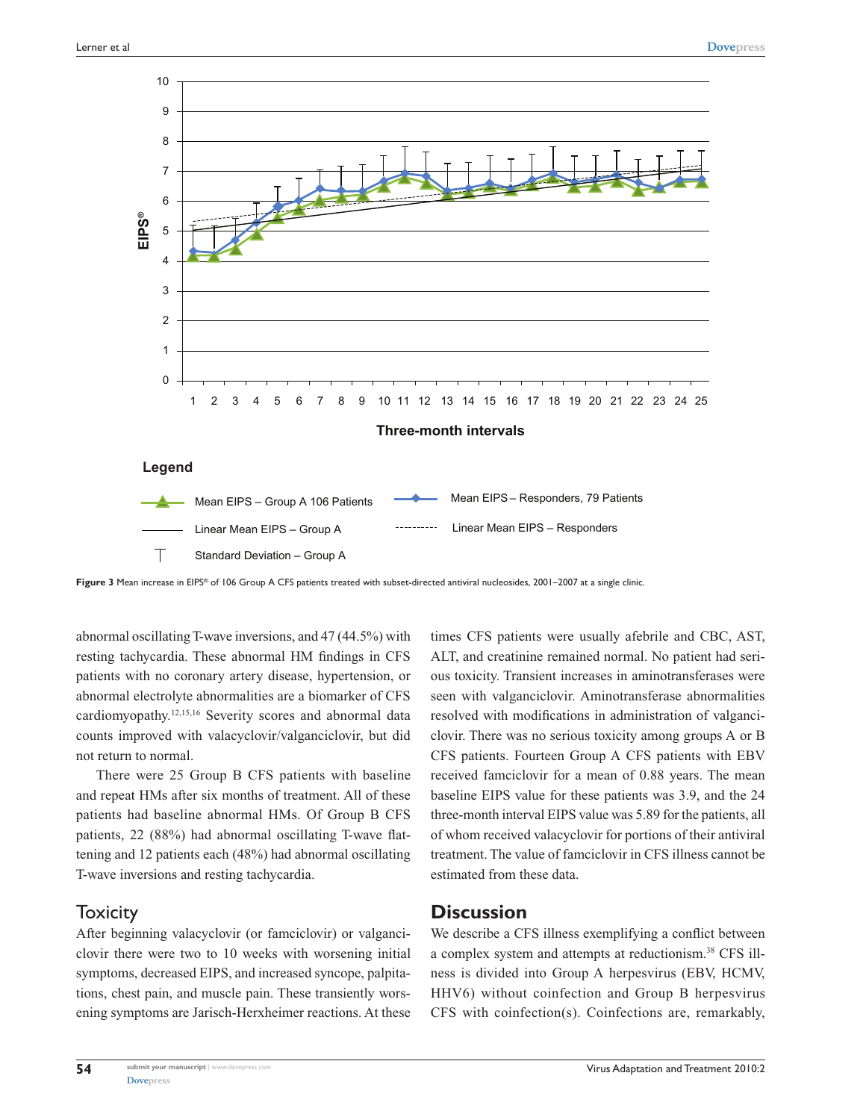

Figure 3 Mean increase in EIPS® of 106 Group A CFS patients treated with subset-directed antiviral nucleosides, 2001–2007 at a single clinic.

abnormal oscillating T-wave inversions, and 47 (44.5%) with resting tachycardia. These abnormal HM findings in CFS patients with no coronary artery disease, hypertension, or abnormal electrolyte abnormalities are a biomarker of CFS cardiomyopathy.12,15,16 Severity scores and abnormal data counts improved with valacyclovir/valganciclovir, but did not return to normal.

There were 25 Group B CFS patients with baseline and repeat HMs after six months of treatment. All of these patients had baseline abnormal HMs. Of Group B CFS patients, 22 (88%) had abnormal oscillating T-wave flattening and 12 patients each (48%) had abnormal oscillating T-wave inversions and resting tachycardia.

#### **Toxicity**

**54**

After beginning valacyclovir (or famciclovir) or valganciclovir there were two to 10 weeks with worsening initial symptoms, decreased EIPS, and increased syncope, palpitations, chest pain, and muscle pain. These transiently worsening symptoms are Jarisch-Herxheimer reactions. At these times CFS patients were usually afebrile and CBC, AST, ALT, and creatinine remained normal. No patient had serious toxicity. Transient increases in aminotransferases were seen with valganciclovir. Aminotransferase abnormalities resolved with modifications in administration of valganciclovir. There was no serious toxicity among groups A or B CFS patients. Fourteen Group A CFS patients with EBV received famciclovir for a mean of 0.88 years. The mean baseline EIPS value for these patients was 3.9, and the 24 three-month interval EIPS value was 5.89 for the patients, all of whom received valacyclovir for portions of their antiviral treatment. The value of famciclovir in CFS illness cannot be estimated from these data.

#### **Discussion**

We describe a CFS illness exemplifying a conflict between a complex system and attempts at reductionism.38 CFS illness is divided into Group A herpesvirus (EBV, HCMV, HHV6) without coinfection and Group B herpesvirus CFS with coinfection(s). Coinfections are, remarkably,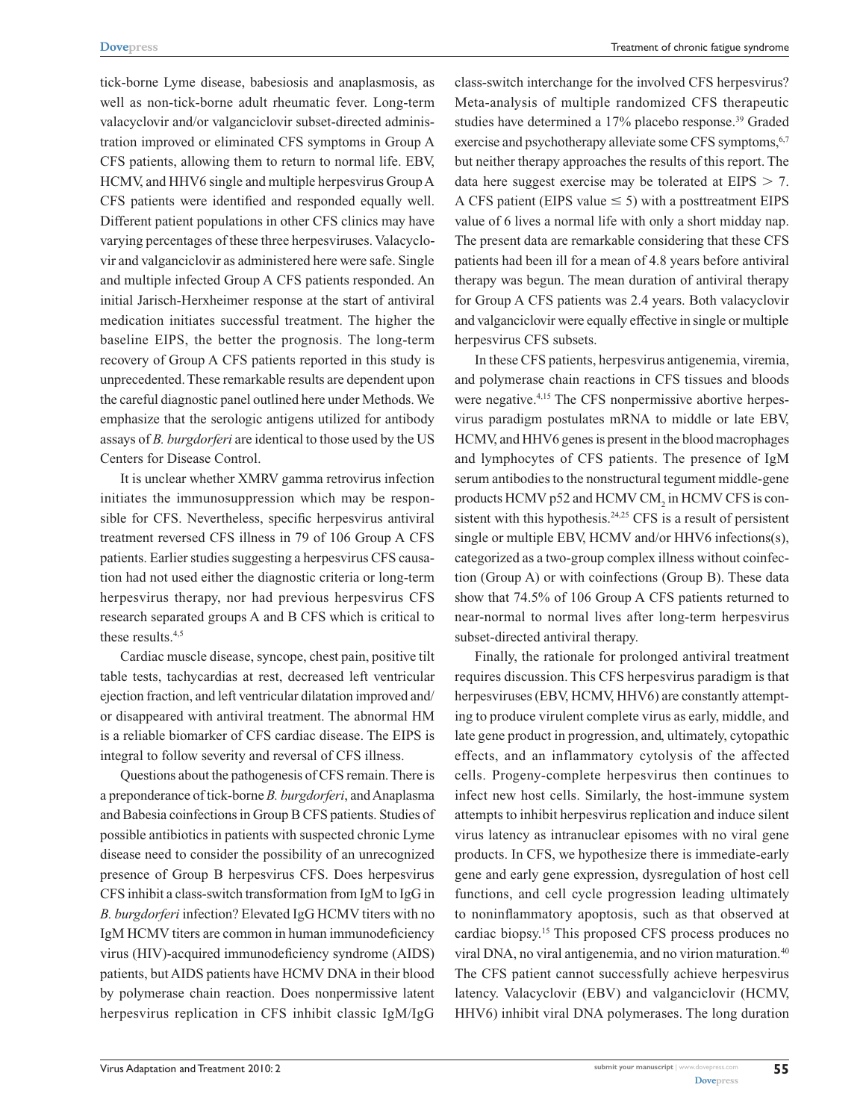tick-borne Lyme disease, babesiosis and anaplasmosis, as well as non-tick-borne adult rheumatic fever. Long-term valacyclovir and/or valganciclovir subset-directed administration improved or eliminated CFS symptoms in Group A CFS patients, allowing them to return to normal life. EBV, HCMV, and HHV6 single and multiple herpesvirus Group A CFS patients were identified and responded equally well. Different patient populations in other CFS clinics may have varying percentages of these three herpesviruses. Valacyclovir and valganciclovir as administered here were safe. Single and multiple infected Group A CFS patients responded. An initial Jarisch-Herxheimer response at the start of antiviral medication initiates successful treatment. The higher the baseline EIPS, the better the prognosis. The long-term recovery of Group A CFS patients reported in this study is unprecedented. These remarkable results are dependent upon the careful diagnostic panel outlined here under Methods. We emphasize that the serologic antigens utilized for antibody assays of *B. burgdorferi* are identical to those used by the US Centers for Disease Control.

It is unclear whether XMRV gamma retrovirus infection initiates the immunosuppression which may be responsible for CFS. Nevertheless, specific herpesvirus antiviral treatment reversed CFS illness in 79 of 106 Group A CFS patients. Earlier studies suggesting a herpesvirus CFS causation had not used either the diagnostic criteria or long-term herpesvirus therapy, nor had previous herpesvirus CFS research separated groups A and B CFS which is critical to these results.4,5

Cardiac muscle disease, syncope, chest pain, positive tilt table tests, tachycardias at rest, decreased left ventricular ejection fraction, and left ventricular dilatation improved and/ or disappeared with antiviral treatment. The abnormal HM is a reliable biomarker of CFS cardiac disease. The EIPS is integral to follow severity and reversal of CFS illness.

Questions about the pathogenesis of CFS remain. There is a preponderance of tick-borne *B. burgdorferi*, and Anaplasma and Babesia coinfections in Group B CFS patients. Studies of possible antibiotics in patients with suspected chronic Lyme disease need to consider the possibility of an unrecognized presence of Group B herpesvirus CFS. Does herpesvirus CFS inhibit a class-switch transformation from IgM to IgG in *B. burgdorferi* infection? Elevated IgG HCMV titers with no IgM HCMV titers are common in human immunodeficiency virus (HIV)-acquired immunodeficiency syndrome (AIDS) patients, but AIDS patients have HCMV DNA in their blood by polymerase chain reaction. Does nonpermissive latent herpesvirus replication in CFS inhibit classic IgM/IgG

class-switch interchange for the involved CFS herpesvirus? Meta-analysis of multiple randomized CFS therapeutic studies have determined a 17% placebo response.<sup>39</sup> Graded exercise and psychotherapy alleviate some CFS symptoms,  $6,7$ but neither therapy approaches the results of this report. The data here suggest exercise may be tolerated at  $EIPS > 7$ . A CFS patient (EIPS value  $\leq$  5) with a posttreatment EIPS value of 6 lives a normal life with only a short midday nap. The present data are remarkable considering that these CFS patients had been ill for a mean of 4.8 years before antiviral therapy was begun. The mean duration of antiviral therapy for Group A CFS patients was 2.4 years. Both valacyclovir and valganciclovir were equally effective in single or multiple herpesvirus CFS subsets.

In these CFS patients, herpesvirus antigenemia, viremia, and polymerase chain reactions in CFS tissues and bloods were negative.<sup>4,15</sup> The CFS nonpermissive abortive herpesvirus paradigm postulates mRNA to middle or late EBV, HCMV, and HHV6 genes is present in the blood macrophages and lymphocytes of CFS patients. The presence of IgM serum antibodies to the nonstructural tegument middle-gene products HCMV p52 and HCMV CM<sub>2</sub> in HCMV CFS is consistent with this hypothesis.<sup>24,25</sup> CFS is a result of persistent single or multiple EBV, HCMV and/or HHV6 infections(s), categorized as a two-group complex illness without coinfection (Group A) or with coinfections (Group B). These data show that 74.5% of 106 Group A CFS patients returned to near-normal to normal lives after long-term herpesvirus subset-directed antiviral therapy.

Finally, the rationale for prolonged antiviral treatment requires discussion. This CFS herpesvirus paradigm is that herpesviruses (EBV, HCMV, HHV6) are constantly attempting to produce virulent complete virus as early, middle, and late gene product in progression, and, ultimately, cytopathic effects, and an inflammatory cytolysis of the affected cells. Progeny-complete herpesvirus then continues to infect new host cells. Similarly, the host-immune system attempts to inhibit herpesvirus replication and induce silent virus latency as intranuclear episomes with no viral gene products. In CFS, we hypothesize there is immediate-early gene and early gene expression, dysregulation of host cell functions, and cell cycle progression leading ultimately to noninflammatory apoptosis, such as that observed at cardiac biopsy.15 This proposed CFS process produces no viral DNA, no viral antigenemia, and no virion maturation.<sup>40</sup> The CFS patient cannot successfully achieve herpesvirus latency. Valacyclovir (EBV) and valganciclovir (HCMV, HHV6) inhibit viral DNA polymerases. The long duration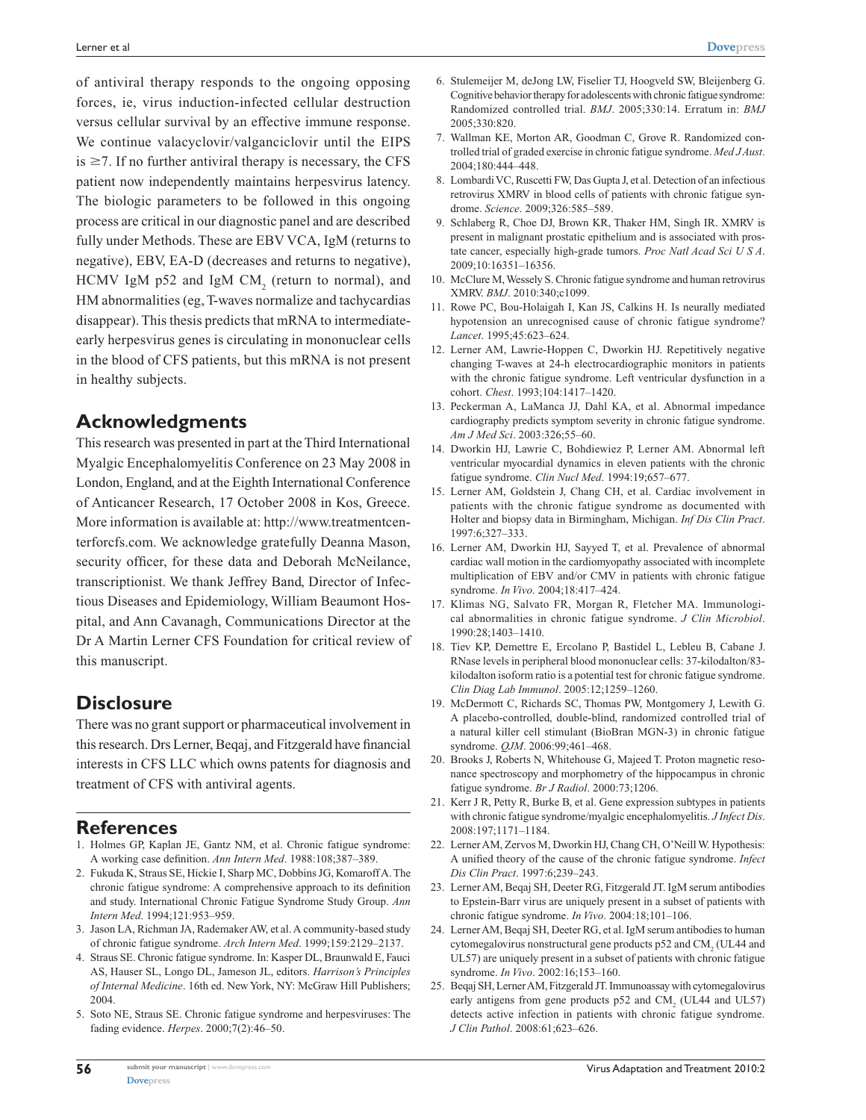of antiviral therapy responds to the ongoing opposing forces, ie, virus induction-infected cellular destruction versus cellular survival by an effective immune response. We continue valacyclovir/valganciclovir until the EIPS is  $\ge$  7. If no further antiviral therapy is necessary, the CFS patient now independently maintains herpesvirus latency. The biologic parameters to be followed in this ongoing process are critical in our diagnostic panel and are described fully under Methods. These are EBV VCA, IgM (returns to negative), EBV, EA-D (decreases and returns to negative), HCMV IgM p52 and IgM  $CM_2$  (return to normal), and HM abnormalities (eg, T-waves normalize and tachycardias disappear). This thesis predicts that mRNA to intermediateearly herpesvirus genes is circulating in mononuclear cells in the blood of CFS patients, but this mRNA is not present in healthy subjects.

## **Acknowledgments**

This research was presented in part at the Third International Myalgic Encephalomyelitis Conference on 23 May 2008 in London, England, and at the Eighth International Conference of Anticancer Research, 17 October 2008 in Kos, Greece. More information is available at: http://www.treatmentcenterforcfs.com. We acknowledge gratefully Deanna Mason, security officer, for these data and Deborah McNeilance, transcriptionist. We thank Jeffrey Band, Director of Infectious Diseases and Epidemiology, William Beaumont Hospital, and Ann Cavanagh, Communications Director at the Dr A Martin Lerner CFS Foundation for critical review of this manuscript.

## **Disclosure**

There was no grant support or pharmaceutical involvement in this research. Drs Lerner, Beqaj, and Fitzgerald have financial interests in CFS LLC which owns patents for diagnosis and treatment of CFS with antiviral agents.

## **References**

**56**

- 1. Holmes GP, Kaplan JE, Gantz NM, et al. Chronic fatigue syndrome: A working case definition. *Ann Intern Med*. 1988:108;387–389.
- 2. Fukuda K, Straus SE, Hickie I, Sharp MC, Dobbins JG, Komaroff A. The chronic fatigue syndrome: A comprehensive approach to its definition and study. International Chronic Fatigue Syndrome Study Group. *Ann Intern Med*. 1994;121:953–959.
- 3. Jason LA, Richman JA, Rademaker AW, et al. A community-based study of chronic fatigue syndrome. *Arch Intern Med*. 1999;159:2129–2137.
- 4. Straus SE. Chronic fatigue syndrome. In: Kasper DL, Braunwald E, Fauci AS, Hauser SL, Longo DL, Jameson JL, editors. *Harrison's Principles of Internal Medicine*. 16th ed. New York, NY: McGraw Hill Publishers; 2004.
- 5. Soto NE, Straus SE. Chronic fatigue syndrome and herpesviruses: The fading evidence. *Herpes*. 2000;7(2):46–50.
- 6. Stulemeijer M, deJong LW, Fiselier TJ, Hoogveld SW, Bleijenberg G. Cognitive behavior therapy for adolescents with chronic fatigue syndrome: Randomized controlled trial. *BMJ*. 2005;330:14. Erratum in: *BMJ* 2005;330:820.
- 7. Wallman KE, Morton AR, Goodman C, Grove R. Randomized controlled trial of graded exercise in chronic fatigue syndrome. *Med J Aust*. 2004;180:444–448.
- 8. Lombardi VC, Ruscetti FW, Das Gupta J, et al. Detection of an infectious retrovirus XMRV in blood cells of patients with chronic fatigue syndrome. *Science*. 2009;326:585–589.
- 9. Schlaberg R, Choe DJ, Brown KR, Thaker HM, Singh IR. XMRV is present in malignant prostatic epithelium and is associated with prostate cancer, especially high-grade tumors. *Proc Natl Acad Sci U S A*. 2009;10:16351–16356.
- 10. McClure M, Wessely S. Chronic fatigue syndrome and human retrovirus XMRV. *BMJ*. 2010:340;c1099.
- 11. Rowe PC, Bou-Holaigah I, Kan JS, Calkins H. Is neurally mediated hypotension an unrecognised cause of chronic fatigue syndrome? *Lancet*. 1995;45:623–624.
- 12. Lerner AM, Lawrie-Hoppen C, Dworkin HJ. Repetitively negative changing T-waves at 24-h electrocardiographic monitors in patients with the chronic fatigue syndrome. Left ventricular dysfunction in a cohort. *Chest*. 1993;104:1417–1420.
- 13. Peckerman A, LaManca JJ, Dahl KA, et al. Abnormal impedance cardiography predicts symptom severity in chronic fatigue syndrome. *Am J Med Sci*. 2003:326;55–60.
- 14. Dworkin HJ, Lawrie C, Bohdiewiez P, Lerner AM. Abnormal left ventricular myocardial dynamics in eleven patients with the chronic fatigue syndrome. *Clin Nucl Med*. 1994:19;657–677.
- 15. Lerner AM, Goldstein J, Chang CH, et al. Cardiac involvement in patients with the chronic fatigue syndrome as documented with Holter and biopsy data in Birmingham, Michigan. *Inf Dis Clin Pract*. 1997:6;327–333.
- 16. Lerner AM, Dworkin HJ, Sayyed T, et al. Prevalence of abnormal cardiac wall motion in the cardiomyopathy associated with incomplete multiplication of EBV and/or CMV in patients with chronic fatigue syndrome. *In Vivo*. 2004;18:417–424.
- 17. Klimas NG, Salvato FR, Morgan R, Fletcher MA. Immunological abnormalities in chronic fatigue syndrome. *J Clin Microbiol*. 1990:28;1403–1410.
- 18. Tiev KP, Demettre E, Ercolano P, Bastidel L, Lebleu B, Cabane J. RNase levels in peripheral blood mononuclear cells: 37-kilodalton/83 kilodalton isoform ratio is a potential test for chronic fatigue syndrome. *Clin Diag Lab Immunol*. 2005:12;1259–1260.
- 19. McDermott C, Richards SC, Thomas PW, Montgomery J, Lewith G. A placebo-controlled, double-blind, randomized controlled trial of a natural killer cell stimulant (BioBran MGN-3) in chronic fatigue syndrome. *QJM*. 2006:99;461–468.
- 20. Brooks J, Roberts N, Whitehouse G, Majeed T. Proton magnetic resonance spectroscopy and morphometry of the hippocampus in chronic fatigue syndrome. *Br J Radiol*. 2000:73;1206.
- 21. Kerr J R, Petty R, Burke B, et al. Gene expression subtypes in patients with chronic fatigue syndrome/myalgic encephalomyelitis. *J Infect Dis*. 2008:197;1171–1184.
- 22. Lerner AM, Zervos M, Dworkin HJ, Chang CH, O'Neill W. Hypothesis: A unified theory of the cause of the chronic fatigue syndrome. *Infect Dis Clin Pract*. 1997:6;239–243.
- 23. Lerner AM, Beqaj SH, Deeter RG, Fitzgerald JT. IgM serum antibodies to Epstein-Barr virus are uniquely present in a subset of patients with chronic fatigue syndrome. *In Vivo*. 2004:18;101–106.
- 24. Lerner AM, Beqaj SH, Deeter RG, et al. IgM serum antibodies to human cytomegalovirus nonstructural gene products p52 and  $\text{CM}_2$  (UL44 and UL57) are uniquely present in a subset of patients with chronic fatigue syndrome. *In Vivo*. 2002:16;153–160.
- 25. Beqaj SH, Lerner AM, Fitzgerald JT. Immunoassay with cytomegalovirus early antigens from gene products  $p52$  and  $CM$ <sub>2</sub> (UL44 and UL57) detects active infection in patients with chronic fatigue syndrome. *J Clin Pathol*. 2008:61;623–626.